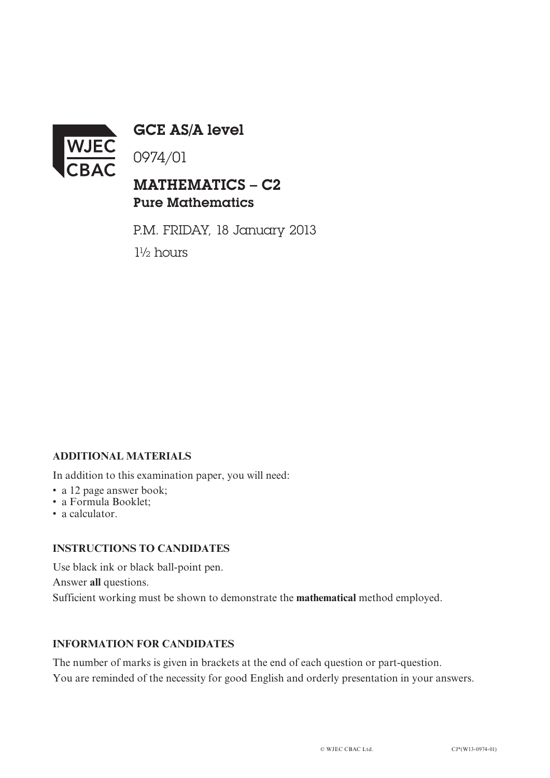

GCE AS/A level

0974/01

## MATHEMATICS – C2 Pure Mathematics

P.M. FRIDAY, 18 January 2013 1½ hours

### **ADDITIONAL MATERIALS**

In addition to this examination paper, you will need:

- a 12 page answer book;
- a Formula Booklet;
- a calculator.

#### **INSTRUCTIONS TO CANDIDATES**

Use black ink or black ball-point pen. Answer **all** questions. Sufficient working must be shown to demonstrate the **mathematical** method employed.

#### **INFORMATION FOR CANDIDATES**

The number of marks is given in brackets at the end of each question or part-question. You are reminded of the necessity for good English and orderly presentation in your answers.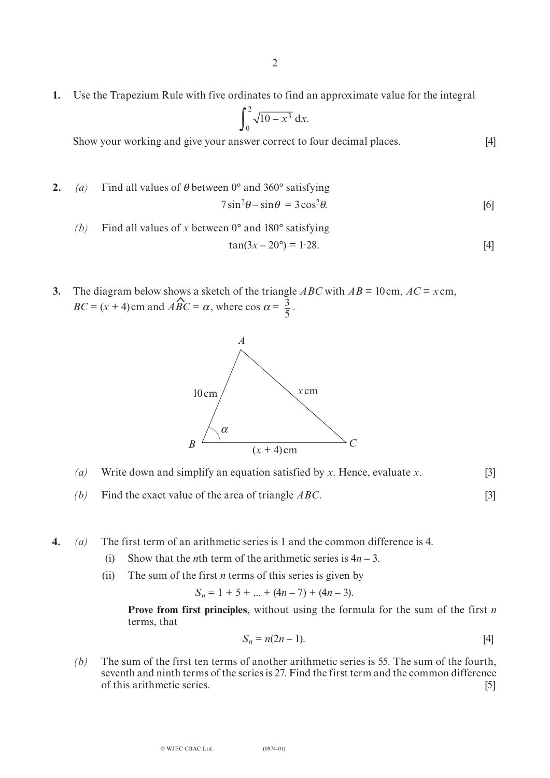**1.** Use the Trapezium Rule with five ordinates to find an approximate value for the integral

$$
\int_0^2 \sqrt{10 - x^3} \, \mathrm{d}x.
$$

Show your working and give your answer correct to four decimal places. [4]

- **2.** *(a)* Find all values of  $\theta$  between 0° and 360° satisfying  $7\sin^2\theta - \sin\theta = 3\cos^2\theta$  $\theta$ . [6]
	- *(b)* Find all values of *x* between 0° and 180° satisfying  $tan(3x - 20^{\circ}) = 1.28$ . 28.  $[4]$

5

3. The diagram below shows a sketch of the triangle ABC with 
$$
AB = 10 \text{ cm}
$$
,  $AC = x \text{ cm}$ ,  $BC = (x + 4) \text{ cm}$  and  $\angle ABC = \alpha$ , where  $\cos \alpha = \frac{3}{7}$ .



- *(a)* Write down and simplify an equation satisfied by *x*. Hence, evaluate *x*. [3]
- *(b)* Find the exact value of the area of triangle *ABC*. [3]
- **4.** *(a)* The first term of an arithmetic series is 1 and the common difference is 4.
	- (i) Show that the *n*th term of the arithmetic series is  $4n 3$ .
	- (ii) The sum of the first *n* terms of this series is given by

$$
S_n = 1 + 5 + \dots + (4n - 7) + (4n - 3).
$$

 **Prove from first principles**, without using the formula for the sum of the first *n* terms, that

$$
S_n = n(2n - 1). \tag{4}
$$

*(b)* The sum of the first ten terms of another arithmetic series is 55. The sum of the fourth, seventh and ninth terms of the series is 27. Find the first term and the common difference of this arithmetic series. [5]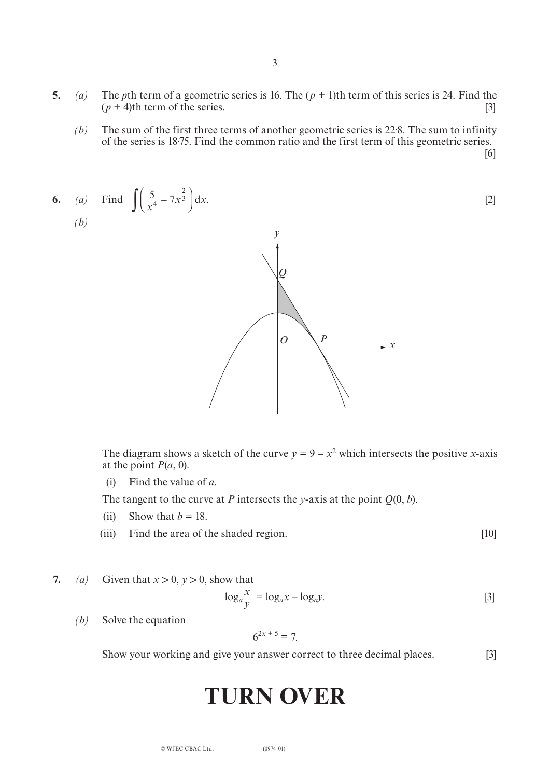- **5.** *(a)* The *p*th term of a geometric series is 16. The  $(p + 1)$ th term of this series is 24. Find the  $(p + 4)$ th term of the series.  $(p + 4)$ th term of the series.
	- *(b)* The sum of the first three terms of another geometric series is 22·8. The sum to infinity of the series is 18·75. Find the common ratio and the first term of this geometric series. [6]

6. (a) Find 
$$
\int \left(\frac{5}{x^4} - 7x^{\frac{2}{3}}\right) dx
$$
. [2]



The diagram shows a sketch of the curve  $y = 9 - x^2$  which intersects the positive *x*-axis at the point  $P(a, 0)$ .

(i) Find the value of *a*.

The tangent to the curve at *P* intersects the *y*-axis at the point  $Q(0, b)$ .

- (ii) Show that  $b = 18$ .
- (iii) Find the area of the shaded region. [10]

**7.** *(a)* Given that  $x > 0$ ,  $y > 0$ , show that

$$
\log_a \frac{x}{y} = \log_a x - \log_a y. \tag{3}
$$

*(b)* Solve the equation

$$
6^{2x+5} = 7.
$$

Show your working and give your answer correct to three decimal places. [3]

# **TURN OVER**